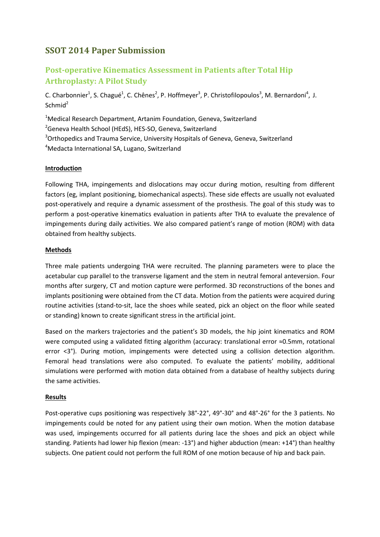# **SSOT 2014 Paper Submission**

# **Post-operative Kinematics Assessment in Patients after Total Hip Arthroplasty: A Pilot Study**

C. Charbonnier<sup>1</sup>, S. Chagué<sup>1</sup>, C. Chênes<sup>2</sup>, P. Hoffmeyer<sup>3</sup>, P. Christofilopoulos<sup>3</sup>, M. Bernardoni<sup>4</sup>, J.  $Schmid<sup>2</sup>$ 

<sup>1</sup>Medical Research Department, Artanim Foundation, Geneva, Switzerland

<sup>2</sup>Geneva Health School (HEdS), HES-SO, Geneva, Switzerland

<sup>3</sup>Orthopedics and Trauma Service, University Hospitals of Geneva, Geneva, Switzerland

<sup>4</sup>Medacta International SA, Lugano, Switzerland

### **Introduction**

Following THA, impingements and dislocations may occur during motion, resulting from different factors (eg, implant positioning, biomechanical aspects). These side effects are usually not evaluated post-operatively and require a dynamic assessment of the prosthesis. The goal of this study was to perform a post-operative kinematics evaluation in patients after THA to evaluate the prevalence of impingements during daily activities. We also compared patient's range of motion (ROM) with data obtained from healthy subjects.

## **Methods**

Three male patients undergoing THA were recruited. The planning parameters were to place the acetabular cup parallel to the transverse ligament and the stem in neutral femoral anteversion. Four months after surgery, CT and motion capture were performed. 3D reconstructions of the bones and implants positioning were obtained from the CT data. Motion from the patients were acquired during routine activities (stand-to-sit, lace the shoes while seated, pick an object on the floor while seated or standing) known to create significant stress in the artificial joint.

Based on the markers trajectories and the patient's 3D models, the hip joint kinematics and ROM were computed using a validated fitting algorithm (accuracy: translational error ≈0.5mm, rotational error <3°). During motion, impingements were detected using a collision detection algorithm. Femoral head translations were also computed. To evaluate the patients' mobility, additional simulations were performed with motion data obtained from a database of healthy subjects during the same activities.

### **Results**

Post-operative cups positioning was respectively 38°-22°, 49°-30° and 48°-26° for the 3 patients. No impingements could be noted for any patient using their own motion. When the motion database was used, impingements occurred for all patients during lace the shoes and pick an object while standing. Patients had lower hip flexion (mean: -13°) and higher abduction (mean: +14°) than healthy subjects. One patient could not perform the full ROM of one motion because of hip and back pain.